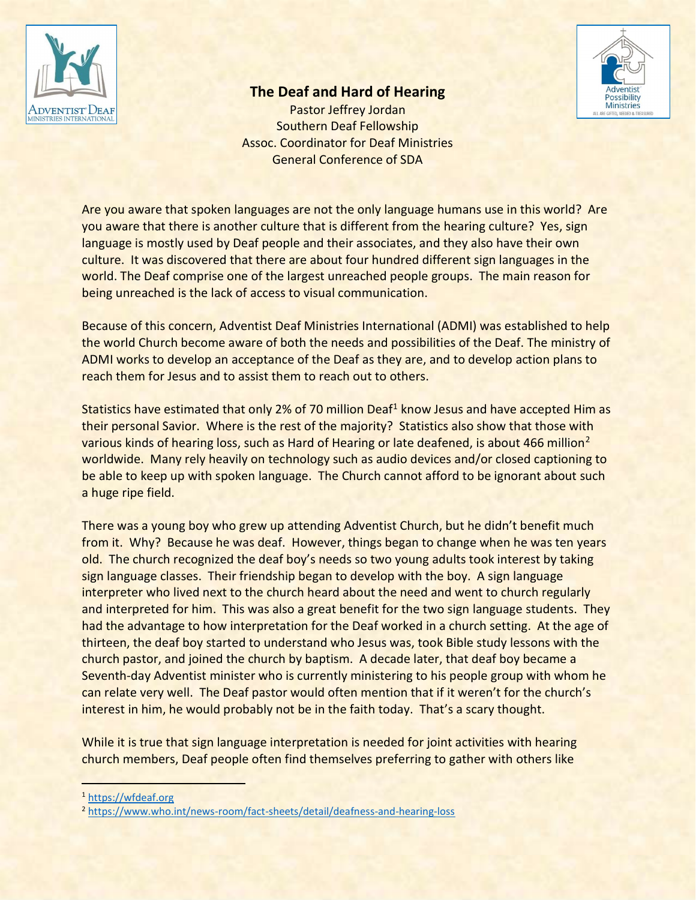

## The Deaf and Hard of Hearing

Pastor Jeffrey Jordan Southern Deaf Fellowship Assoc. Coordinator for Deaf Ministries General Conference of SDA



Are you aware that spoken languages are not the only language humans use in this world? Are you aware that there is another culture that is different from the hearing culture? Yes, sign language is mostly used by Deaf people and their associates, and they also have their own culture. It was discovered that there are about four hundred different sign languages in the world. The Deaf comprise one of the largest unreached people groups. The main reason for being unreached is the lack of access to visual communication.

Because of this concern, Adventist Deaf Ministries International (ADMI) was established to help the world Church become aware of both the needs and possibilities of the Deaf. The ministry of ADMI works to develop an acceptance of the Deaf as they are, and to develop action plans to reach them for Jesus and to assist them to reach out to others.

Statistics have estimated that only 2% of 70 million Deaf<sup>1</sup> know Jesus and have accepted Him as their personal Savior. Where is the rest of the majority? Statistics also show that those with various kinds of hearing loss, such as Hard of Hearing or late deafened, is about 466 million<sup>2</sup> worldwide. Many rely heavily on technology such as audio devices and/or closed captioning to be able to keep up with spoken language. The Church cannot afford to be ignorant about such a huge ripe field.

There was a young boy who grew up attending Adventist Church, but he didn't benefit much from it. Why? Because he was deaf. However, things began to change when he was ten years old. The church recognized the deaf boy's needs so two young adults took interest by taking sign language classes. Their friendship began to develop with the boy. A sign language interpreter who lived next to the church heard about the need and went to church regularly and interpreted for him. This was also a great benefit for the two sign language students. They had the advantage to how interpretation for the Deaf worked in a church setting. At the age of thirteen, the deaf boy started to understand who Jesus was, took Bible study lessons with the church pastor, and joined the church by baptism. A decade later, that deaf boy became a Seventh-day Adventist minister who is currently ministering to his people group with whom he can relate very well. The Deaf pastor would often mention that if it weren't for the church's interest in him, he would probably not be in the faith today. That's a scary thought.

While it is true that sign language interpretation is needed for joint activities with hearing church members, Deaf people often find themselves preferring to gather with others like

<sup>1</sup> https://wfdeaf.org

<sup>2</sup> https://www.who.int/news-room/fact-sheets/detail/deafness-and-hearing-loss